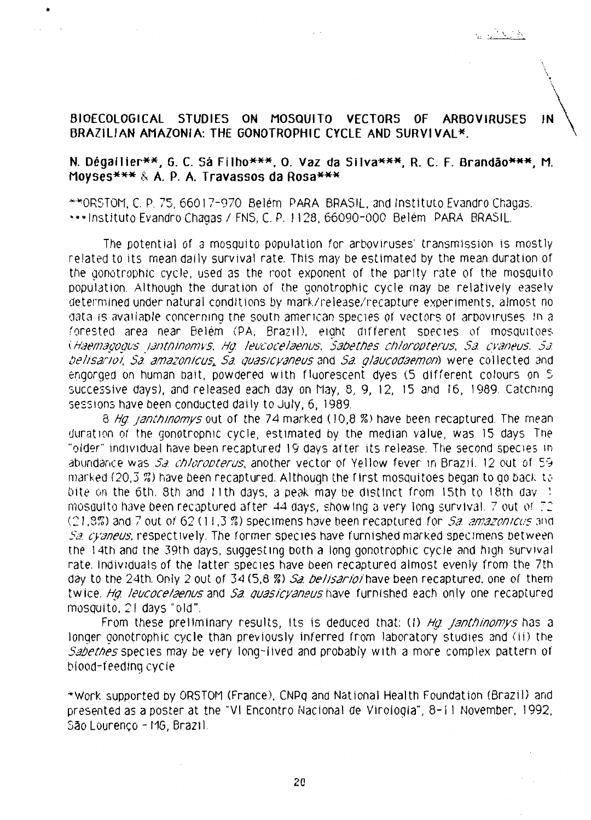## BIOECOLOGICAL STUDIES ON MOSQUITO VECTORS OF **ARBOVIRUSES** IN BRAZILIAN AMAZONIA: THE GONOTROPHIC CYCLE AND SURVIVAL\*.

## N. Dégailier\*\*, G. C. Sa Filho\*\*\*, O. Vaz da Silva\*\*\*, R. C. F. Brandão\*\*\*, M. Moyses\*\*\* & A. P. A. Travassos da Rosa\*\*\*

\*\*ORSTOM, C. P. 75, 66017-970 Belém PARA BRASIL, and Instituto Evandro Chagas. \*\*\*Instituto Evandro Chagas / FNS, C. P. 1128, 66090-000 Belém PARA BRASIL.

The potential of a mosquito population for arboviruses' transmission is mostly related to its mean daily survival rate. This may be estimated by the mean duration of the gonotrophic cycle, used as the root exponent of the parity rate of the mosquito population. Although the duration of the gonotrophic cycle may be relatively easely determined under natural conditions by mark/release/recapture experiments, almost no data is available concerning the south american species of vectors of arboviruses. In a forested area near Belém (PA, Brazil), eight different species of mosquitoes (Haemagogus janthinomys, Hg. leucocelaenus, Sabethes chloropterus, Sa. cyaneus, Sa. belisariol. Sa. amazonicus, Sa. quasicyaneus and Sa. glaucodaemon) were collected and engorged on human bait, powdered with fluorescent dyes (5 different colours on 5 successive days), and released each day on May, 8, 9, 12, 15 and 16, 1989. Catching sessions have been conducted daily to July, 6, 1989.

8 Hq. janthinomys out of the 74 marked (10,8 %) have been recaptured. The mean duration of the gonotrophic cycle, estimated by the median value, was 15 days. The "older" individual have been recaptured 19 days after its release. The second species in abundance was Sa. chloropterus, another vector of Yellow fever in Brazil. 12 out of 59 marked (20.3%) have been recaptured. Although the first mosquitoes began to go back to bite on the 6th. 8th and 11th days, a peak may be distinct from 15th to 18th day : mosquito have been recaptured after 44 days, showing a very long survival. 7 out of 72 (21.9%) and 7 out of 62 (11.3%) specimens have been recaptured for Sa. amazonicus and Sa cvaneus, respectively. The former species have furnished marked specimens between the 14th and the 39th days, suggesting both a long gonotrophic cycle and high survival rate, individuals of the latter species have been recaptured almost evenly from the 7th day to the 24th. Only 2 out of 34 (5.8 %) Sa. belisarioi have been recaptured, one of them twice. Ha. leucocelaenus and Sa. quasicyaneus have furnished each only one recaptured mosquito, 21 days "old".

From these preliminary results, its is deduced that: (1) Hg janthinomys has a longer gonotrophic cycle than previously inferred from laboratory studies and (ii) the Sabethes species may be very long-lived and probably with a more complex pattern of blood-feeding cycle

\*Work supported by ORSTOM (France), CNPq and National Health Foundation (Brazil) and presented as a poster at the "VI Encontro Nacional de Virologia", 8-11 November, 1992, São Lourenço - MG, Brazil.